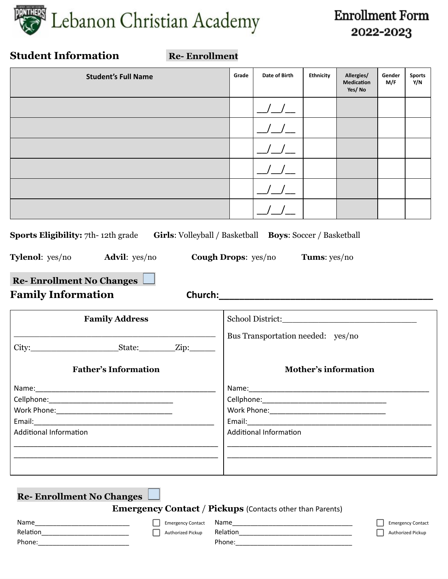

# **Enrollment Form** 2022-2023

## **Student Information Re- Enrollment**

| <b>Student's Full Name</b>                                                  | Grade | Date of Birth                    | <b>Ethnicity</b> | Allergies/<br><b>Medication</b><br>Yes/No | Gender<br>M/F | <b>Sports</b><br>Y/N |
|-----------------------------------------------------------------------------|-------|----------------------------------|------------------|-------------------------------------------|---------------|----------------------|
|                                                                             |       |                                  |                  |                                           |               |                      |
|                                                                             |       |                                  |                  |                                           |               |                      |
|                                                                             |       |                                  |                  |                                           |               |                      |
|                                                                             |       |                                  |                  |                                           |               |                      |
|                                                                             |       |                                  |                  |                                           |               |                      |
|                                                                             |       |                                  |                  |                                           |               |                      |
| Sports Eligibility: 7th-12th grade<br><b>Girls:</b> Volleyball / Basketball |       | <b>Boys: Soccer / Basketball</b> |                  |                                           |               |                      |

**Tylenol**: yes/no **Advil**: yes/no **Cough Drops**: yes/no **Tums**: yes/no

**Re- Enrollment No Changes Family Information Church:\_\_\_\_\_\_\_\_\_\_\_\_\_\_\_\_\_\_\_\_\_\_\_\_\_\_\_\_\_\_\_\_\_\_\_\_\_\_\_\_\_\_**

| <b>Family Address</b>       |                                   |
|-----------------------------|-----------------------------------|
|                             | Bus Transportation needed: yes/no |
| <b>Father's Information</b> | <b>Mother's information</b>       |
|                             |                                   |
|                             |                                   |
|                             |                                   |
|                             |                                   |
| Additional Information      | <b>Additional Information</b>     |

**Re- Enrollment No Changes** 

**Emergency Contact** / **Pickups** (Contacts other than Parents)

| <b>Name</b> |  |
|-------------|--|
| Relation    |  |
| Phone:      |  |

| <b>Emergency Contact</b> |
|--------------------------|
|                          |

Authorized Pickup

Name\_\_\_\_\_\_\_\_\_\_\_\_\_\_\_\_\_\_\_\_\_\_\_\_\_\_\_\_\_\_\_\_\_ Relation\_\_\_\_\_\_\_\_\_\_\_\_\_\_\_\_\_\_\_\_\_\_\_\_\_\_\_\_\_\_\_ Phone:\_\_\_\_\_\_\_\_\_\_\_\_\_\_\_\_\_\_\_\_\_\_\_\_\_\_\_\_\_\_\_\_

| <b>Emergency Contact</b> |
|--------------------------|
| <b>Authorized Pickup</b> |